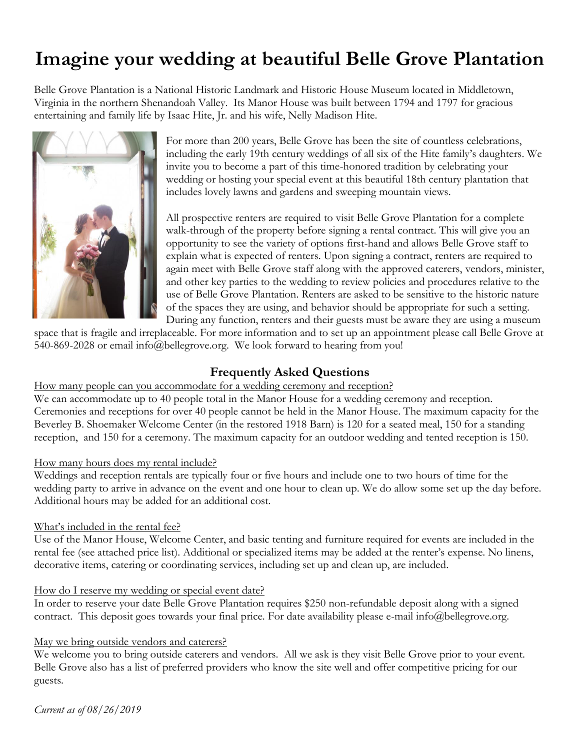# **Imagine your wedding at beautiful Belle Grove Plantation**

Belle Grove Plantation is a National Historic Landmark and Historic House Museum located in Middletown, Virginia in the northern Shenandoah Valley. Its Manor House was built between 1794 and 1797 for gracious entertaining and family life by Isaac Hite, Jr. and his wife, Nelly Madison Hite.



For more than 200 years, Belle Grove has been the site of countless celebrations, including the early 19th century weddings of all six of the Hite family's daughters. We invite you to become a part of this time-honored tradition by celebrating your wedding or hosting your special event at this beautiful 18th century plantation that includes lovely lawns and gardens and sweeping mountain views.

All prospective renters are required to visit Belle Grove Plantation for a complete walk-through of the property before signing a rental contract. This will give you an opportunity to see the variety of options first-hand and allows Belle Grove staff to explain what is expected of renters. Upon signing a contract, renters are required to again meet with Belle Grove staff along with the approved caterers, vendors, minister, and other key parties to the wedding to review policies and procedures relative to the use of Belle Grove Plantation. Renters are asked to be sensitive to the historic nature of the spaces they are using, and behavior should be appropriate for such a setting. During any function, renters and their guests must be aware they are using a museum

space that is fragile and irreplaceable. For more information and to set up an appointment please call Belle Grove at 540-869-2028 or email info@bellegrove.org. We look forward to hearing from you!

### **Frequently Asked Questions**

### How many people can you accommodate for a wedding ceremony and reception?

We can accommodate up to 40 people total in the Manor House for a wedding ceremony and reception. Ceremonies and receptions for over 40 people cannot be held in the Manor House. The maximum capacity for the Beverley B. Shoemaker Welcome Center (in the restored 1918 Barn) is 120 for a seated meal, 150 for a standing reception, and 150 for a ceremony. The maximum capacity for an outdoor wedding and tented reception is 150.

### How many hours does my rental include?

Weddings and reception rentals are typically four or five hours and include one to two hours of time for the wedding party to arrive in advance on the event and one hour to clean up. We do allow some set up the day before. Additional hours may be added for an additional cost.

### What's included in the rental fee?

Use of the Manor House, Welcome Center, and basic tenting and furniture required for events are included in the rental fee (see attached price list). Additional or specialized items may be added at the renter's expense. No linens, decorative items, catering or coordinating services, including set up and clean up, are included.

### How do I reserve my wedding or special event date?

In order to reserve your date Belle Grove Plantation requires \$250 non-refundable deposit along with a signed contract. This deposit goes towards your final price. For date availability please e-mail info@bellegrove.org.

### May we bring outside vendors and caterers?

We welcome you to bring outside caterers and vendors. All we ask is they visit Belle Grove prior to your event. Belle Grove also has a list of preferred providers who know the site well and offer competitive pricing for our guests.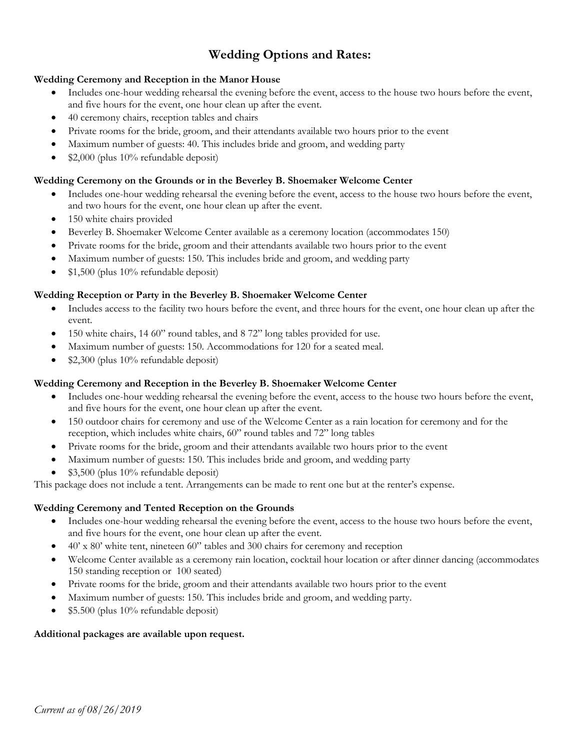## **Wedding Options and Rates:**

### **Wedding Ceremony and Reception in the Manor House**

- Includes one-hour wedding rehearsal the evening before the event, access to the house two hours before the event, and five hours for the event, one hour clean up after the event.
- 40 ceremony chairs, reception tables and chairs
- Private rooms for the bride, groom, and their attendants available two hours prior to the event
- Maximum number of guests: 40. This includes bride and groom, and wedding party
- \$2,000 (plus 10% refundable deposit)

### **Wedding Ceremony on the Grounds or in the Beverley B. Shoemaker Welcome Center**

- Includes one-hour wedding rehearsal the evening before the event, access to the house two hours before the event, and two hours for the event, one hour clean up after the event.
- 150 white chairs provided
- Beverley B. Shoemaker Welcome Center available as a ceremony location (accommodates 150)
- Private rooms for the bride, groom and their attendants available two hours prior to the event
- Maximum number of guests: 150. This includes bride and groom, and wedding party
- \$1,500 (plus 10% refundable deposit)

### **Wedding Reception or Party in the Beverley B. Shoemaker Welcome Center**

- Includes access to the facility two hours before the event, and three hours for the event, one hour clean up after the event.
- 150 white chairs, 14 60" round tables, and 8 72" long tables provided for use.
- Maximum number of guests: 150. Accommodations for 120 for a seated meal.
- \$2,300 (plus 10% refundable deposit)

### **Wedding Ceremony and Reception in the Beverley B. Shoemaker Welcome Center**

- Includes one-hour wedding rehearsal the evening before the event, access to the house two hours before the event, and five hours for the event, one hour clean up after the event.
- 150 outdoor chairs for ceremony and use of the Welcome Center as a rain location for ceremony and for the reception, which includes white chairs, 60" round tables and 72" long tables
- Private rooms for the bride, groom and their attendants available two hours prior to the event
- Maximum number of guests: 150. This includes bride and groom, and wedding party
- \$3,500 (plus 10% refundable deposit)

This package does not include a tent. Arrangements can be made to rent one but at the renter's expense.

### **Wedding Ceremony and Tented Reception on the Grounds**

- Includes one-hour wedding rehearsal the evening before the event, access to the house two hours before the event, and five hours for the event, one hour clean up after the event.
- 40' x 80' white tent, nineteen 60" tables and 300 chairs for ceremony and reception
- Welcome Center available as a ceremony rain location, cocktail hour location or after dinner dancing (accommodates 150 standing reception or 100 seated)
- Private rooms for the bride, groom and their attendants available two hours prior to the event
- Maximum number of guests: 150. This includes bride and groom, and wedding party.
- \$5.500 (plus 10% refundable deposit)

### **Additional packages are available upon request.**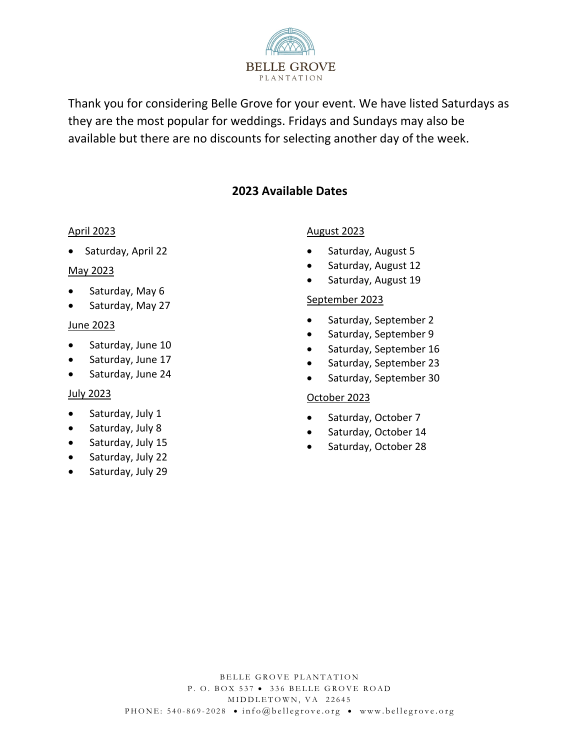

Thank you for considering Belle Grove for your event. We have listed Saturdays as they are the most popular for weddings. Fridays and Sundays may also be available but there are no discounts for selecting another day of the week.

## **2023 Available Dates**

### April 2023

• Saturday, April 22

### May 2023

- Saturday, May 6
- Saturday, May 27

### June 2023

- Saturday, June 10
- Saturday, June 17
- Saturday, June 24

### July 2023

- Saturday, July 1
- Saturday, July 8
- Saturday, July 15
- Saturday, July 22
- Saturday, July 29

### August 2023

- Saturday, August 5
- Saturday, August 12
- Saturday, August 19

### September 2023

- Saturday, September 2
- Saturday, September 9
- Saturday, September 16
- Saturday, September 23
- Saturday, September 30

### October 2023

- Saturday, October 7
- Saturday, October 14
- Saturday, October 28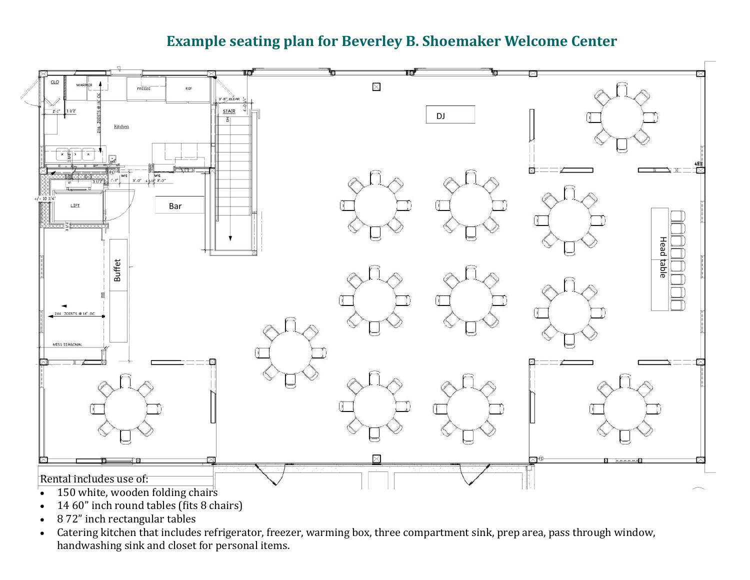# **Example seating plan for Beverley B. Shoemaker Welcome Center**



- 14 60" inch round tables (fits 8 chairs)
- 8 72" inch rectangular tables
- Catering kitchen that includes refrigerator, freezer, warming box, three compartment sink, prep area, pass through window, handwashing sink and closet for personal items.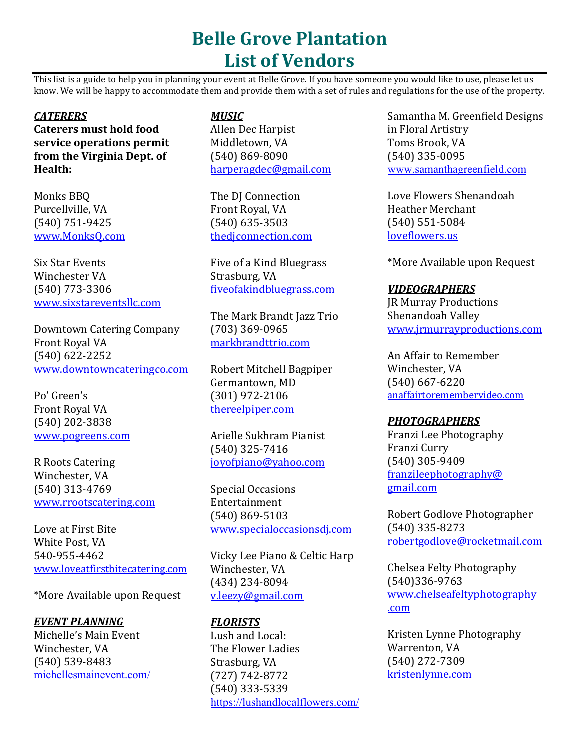# **Belle Grove Plantation List of Vendors**

This list is a guide to help you in planning your event at Belle Grove. If you have someone you would like to use, please let us know. We will be happy to accommodate them and provide them with a set of rules and regulations for the use of the property.

### *CATERERS*

**Caterers must hold food service operations permit from the Virginia Dept. of Health:**

Monks BBQ Purcellville, VA (540) 751-9425 [www.MonksQ.com](http://www.monksq.com/)

Six Star Events Winchester VA (540) 773-3306 [www.sixstareventsllc.com](http://www.sixstareventsllc.com/)

Downtown Catering Company Front Royal VA (540) 622-2252 [www.downtowncateringco.com](http://www.downtowncateringco.com/)

Po' Green's Front Royal VA (540) 202-3838 [www.pogreens.com](http://www.elementonmain.com/)

R Roots Catering Winchester, VA (540) 313-4769 [www.rrootscatering.com](http://www.rrootscatering.com/)

Love at First Bite White Post, VA 540-955-4462 www.loveatfirstbitecatering.com

\*More Available upon Request

### *[EVENT PLANNING](http://michellesmainevent.com/)*

Michelle's Main Event Winchester, VA (540) 539-8483 michellesmainevent.com/

### *MUSIC*

Allen Dec Harpist Middletown, VA (540) 869-8090 [harperagdec@gmail.com](mailto:harperagdec@gmail.com)

The DJ Connection Front Royal, VA (540) 635-3503 thedjconnection.com

Five of a Kind Bluegrass Strasburg, VA fiveofakindbluegrass.com

The Mark Brandt Jazz Trio (703) 369-0965 markbrandttrio.com

Robert Mitchell Bagpiper Germantown, MD (301) 972-2106 thereelpiper.com

Arielle Sukhram Pianist (540) 325-7416 joyofpiano@yahoo.com

Special Occasions Entertainment (540) 869-5103 [www.specialoccasionsdj.com](http://www.specialoccasionsdj.com/)

Vicky Lee Piano & Celtic Harp Winchester, VA (434) 234-8094 [v.leezy@gmail.com](mailto:v.leezy@gmail.com)

## *FLORISTS*

Lush and Local: The Flower Ladies Strasburg, VA (727) 742-8772 (540) 333-5339 <https://lushandlocalflowers.com/>

Samantha M. Greenfield Designs in Floral Artistry Toms Brook, VA (540) 335-0095 [www.samanthagreenfield.com](http://www.samanthagreenfield.com/)

Love Flowers Shenandoah Heather Merchant (540) 551-5084 loveflowers.us

\*More Available upon Request

### *VIDEOGRAPHERS*

JR Murray Productions Shenandoah Valley [www.jrmurrayproductions.com](http://www.jrmurrayproductions.com/)

An Affair to Remember Winchester, VA (540) 667-6220 anaffairtoremembervideo.com

### *PHOTOGRAPHERS*

Franzi Lee Photography Franzi Curry (540) 305-9409 franzileephotography@ [gmail.com](mailto:franzileephotography@gmail.com)

[Robert God](mailto:franzileephotography@gmail.com)love Photographer (540) 335-8273 robertgodlove@rocketmail.com

[Chelsea Felty Photography](mailto:robertgodlove@rocketmail.com) (540)336-9763 www.chelseafeltyphotography .com

Kristen Lynne Photography Warrenton, VA (540) 272-7309 kristenlynne.com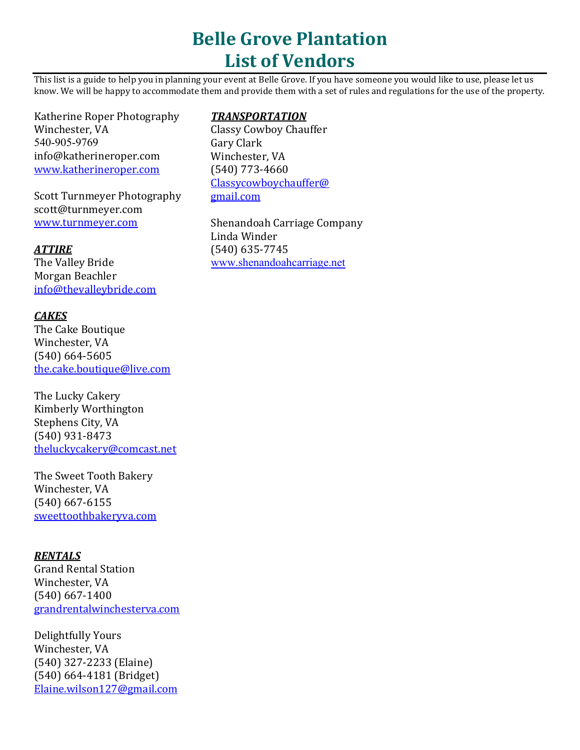# **Belle Grove Plantation List of Vendors**

This list is a guide to help you in planning your event at Belle Grove. If you have someone you would like to use, please let us know. We will be happy to accommodate them and provide them with a set of rules and regulations for the use of the property.

Katherine Roper Photography Winchester, VA 540-905-9769 info@katherineroper.com [www.katherineroper.com](http://www.katherineroper.com/)

Scott Turnmeyer Photography scott@turnmeyer.com www.turnmeyer.com

### *ATTIRE*

The Valley Bride Morgan Beachler [info@thevalleybride.com](mailto:info@thevalleybride.com)

### *CAKES*

The Cake Boutique Winchester, VA (540) 664-5605 [the.cake.boutique@live.com](mailto:jennifer@tiersinheaven.com)

The Lucky Cakery Kimberly Worthington Stephens City, VA (540) 931-8473 [theluckycakery@comcast.net](mailto:theluckycakery@comcast.net)

The Sweet Tooth Bakery Winchester, VA (540) 667-6155 sweettoothbakeryva.com

### *RENTALS*

Grand Rental Station Winchester, VA (540) 667-1400 grandrentalwinchesterva.com

Delightfully Yours Winchester, VA (540) 327-2233 (Elaine) (540) 664-4181 (Bridget) [Elaine.wilson127@gmail.com](mailto:Elaine.wilson127@gmail.com)

### *TRANSPORTATION*

Classy Cowboy Chauffer Gary Clark Winchester, VA (540) 773-4660 [Classycowboychauffer@](mailto:Classycowboychauffer@gmail.com) [gmail.com](mailto:Classycowboychauffer@gmail.com)

Shenandoah Carriage Company Linda Winder (540) 635-7745 [www.shenandoahcarriage.net](http://www.shenandoahcarriage.net/)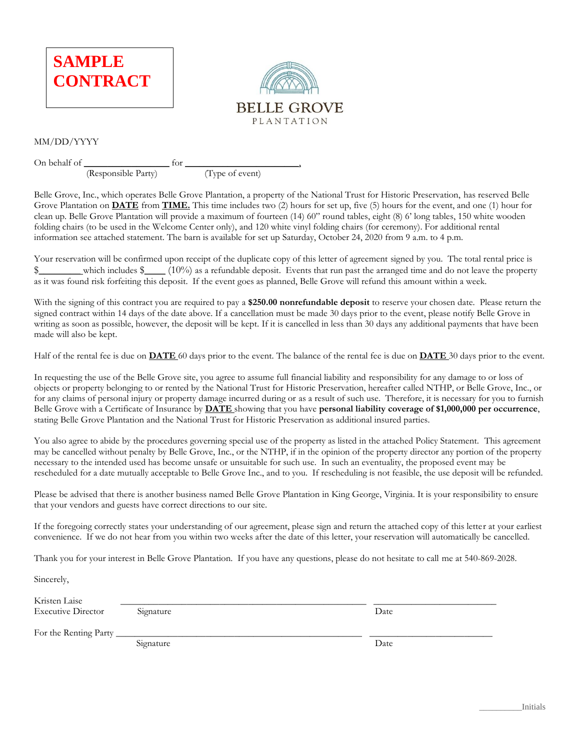

(Responsible Party)



#### MM/DD/YYYY

On behalf of  $\frac{1}{(Responsible Party)}$  for  $\frac{1}{(Type of event)}$ 

Belle Grove, Inc., which operates Belle Grove Plantation, a property of the National Trust for Historic Preservation, has reserved Belle Grove Plantation on **DATE** from **TIME.** This time includes two (2) hours for set up, five (5) hours for the event, and one (1) hour for clean up. Belle Grove Plantation will provide a maximum of fourteen (14) 60" round tables, eight (8) 6' long tables, 150 white wooden folding chairs (to be used in the Welcome Center only), and 120 white vinyl folding chairs (for ceremony). For additional rental information see attached statement. The barn is available for set up Saturday, October 24, 2020 from 9 a.m. to 4 p.m.

Your reservation will be confirmed upon receipt of the duplicate copy of this letter of agreement signed by you. The total rental price is \$\_\_\_\_\_\_\_\_ which includes \$\_\_\_\_ (10%) as a refundable deposit. Events that run past the arranged time and do not leave the property as it was found risk forfeiting this deposit. If the event goes as planned, Belle Grove will refund this amount within a week.

With the signing of this contract you are required to pay a **\$250.00 nonrefundable deposit** to reserve your chosen date. Please return the signed contract within 14 days of the date above. If a cancellation must be made 30 days prior to the event, please notify Belle Grove in writing as soon as possible, however, the deposit will be kept. If it is cancelled in less than 30 days any additional payments that have been made will also be kept.

Half of the rental fee is due on **DATE** 60 days prior to the event. The balance of the rental fee is due on **DATE** 30 days prior to the event.

In requesting the use of the Belle Grove site, you agree to assume full financial liability and responsibility for any damage to or loss of objects or property belonging to or rented by the National Trust for Historic Preservation, hereafter called NTHP, or Belle Grove, Inc., or for any claims of personal injury or property damage incurred during or as a result of such use. Therefore, it is necessary for you to furnish Belle Grove with a Certificate of Insurance by **DATE** showing that you have **personal liability coverage of \$1,000,000 per occurrence**, stating Belle Grove Plantation and the National Trust for Historic Preservation as additional insured parties.

You also agree to abide by the procedures governing special use of the property as listed in the attached Policy Statement. This agreement may be cancelled without penalty by Belle Grove, Inc., or the NTHP, if in the opinion of the property director any portion of the property necessary to the intended used has become unsafe or unsuitable for such use. In such an eventuality, the proposed event may be rescheduled for a date mutually acceptable to Belle Grove Inc., and to you. If rescheduling is not feasible, the use deposit will be refunded.

Please be advised that there is another business named Belle Grove Plantation in King George, Virginia. It is your responsibility to ensure that your vendors and guests have correct directions to our site.

If the foregoing correctly states your understanding of our agreement, please sign and return the attached copy of this letter at your earliest convenience. If we do not hear from you within two weeks after the date of this letter, your reservation will automatically be cancelled.

Thank you for your interest in Belle Grove Plantation. If you have any questions, please do not hesitate to call me at 540-869-2028.

Sincerely,

Kristen Laise \_\_\_\_\_\_\_\_\_\_\_\_\_\_\_\_\_\_\_\_\_\_\_\_\_\_\_\_\_\_\_\_\_\_\_\_\_\_\_\_\_\_\_\_\_\_\_\_\_\_\_\_ \_\_\_\_\_\_\_\_\_\_\_\_\_\_\_\_\_\_\_\_\_\_\_\_\_\_ Executive Director Signature Signature Date

For the Renting Party

Signature Date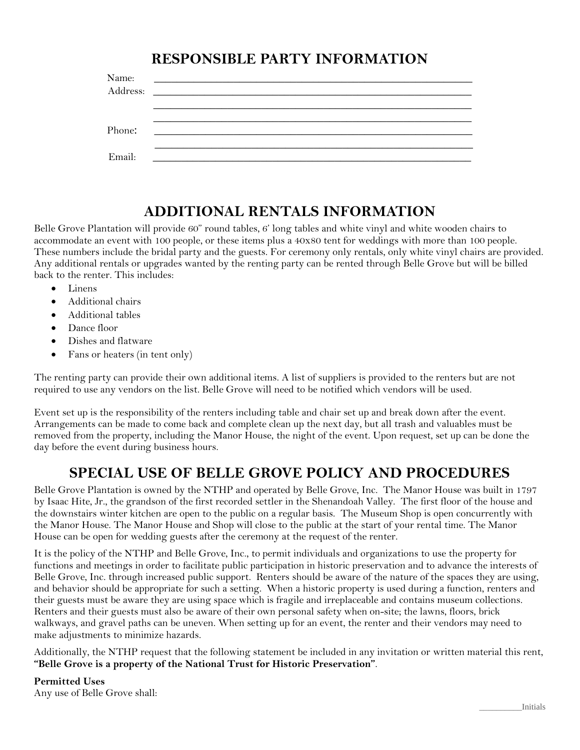# **RESPONSIBLE PARTY INFORMATION**

| Name:<br>Address: | <u> 1980 - Andrea Andrewski, politik američki profesor (d. 1980)</u>                                                 |
|-------------------|----------------------------------------------------------------------------------------------------------------------|
|                   |                                                                                                                      |
|                   |                                                                                                                      |
| Phone:            | <u> 1989 - Jan Samuel Barbara, prima a prima a prima a prima a prima a prima a prima a prima a prima a prima a p</u> |
|                   |                                                                                                                      |
| Email:            |                                                                                                                      |

## **ADDITIONAL RENTALS INFORMATION**

Belle Grove Plantation will provide 60" round tables, 6' long tables and white vinyl and white wooden chairs to accommodate an event with 100 people, or these items plus a 40x80 tent for weddings with more than 100 people. These numbers include the bridal party and the guests. For ceremony only rentals, only white vinyl chairs are provided. Any additional rentals or upgrades wanted by the renting party can be rented through Belle Grove but will be billed back to the renter. This includes:

- Linens
- Additional chairs
- Additional tables
- Dance floor
- Dishes and flatware
- Fans or heaters (in tent only)

The renting party can provide their own additional items. A list of suppliers is provided to the renters but are not required to use any vendors on the list. Belle Grove will need to be notified which vendors will be used.

Event set up is the responsibility of the renters including table and chair set up and break down after the event. Arrangements can be made to come back and complete clean up the next day, but all trash and valuables must be removed from the property, including the Manor House, the night of the event. Upon request, set up can be done the day before the event during business hours.

## **SPECIAL USE OF BELLE GROVE POLICY AND PROCEDURES**

Belle Grove Plantation is owned by the NTHP and operated by Belle Grove, Inc. The Manor House was built in 1797 by Isaac Hite, Jr., the grandson of the first recorded settler in the Shenandoah Valley. The first floor of the house and the downstairs winter kitchen are open to the public on a regular basis. The Museum Shop is open concurrently with the Manor House. The Manor House and Shop will close to the public at the start of your rental time. The Manor House can be open for wedding guests after the ceremony at the request of the renter.

It is the policy of the NTHP and Belle Grove, Inc., to permit individuals and organizations to use the property for functions and meetings in order to facilitate public participation in historic preservation and to advance the interests of Belle Grove, Inc. through increased public support. Renters should be aware of the nature of the spaces they are using, and behavior should be appropriate for such a setting. When a historic property is used during a function, renters and their guests must be aware they are using space which is fragile and irreplaceable and contains museum collections. Renters and their guests must also be aware of their own personal safety when on-site; the lawns, floors, brick walkways, and gravel paths can be uneven. When setting up for an event, the renter and their vendors may need to make adjustments to minimize hazards.

Additionally, the NTHP request that the following statement be included in any invitation or written material this rent, **"Belle Grove is a property of the National Trust for Historic Preservation"**.

**Permitted Uses** Any use of Belle Grove shall: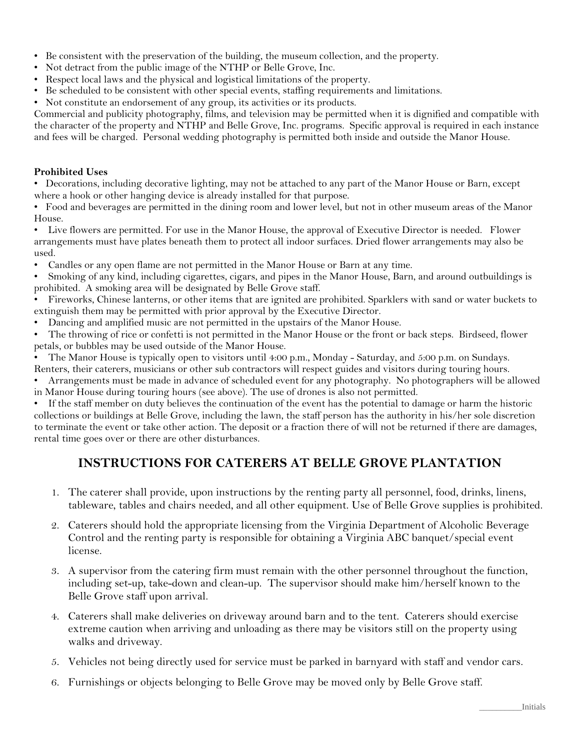- Be consistent with the preservation of the building, the museum collection, and the property.
- Not detract from the public image of the NTHP or Belle Grove, Inc.
- Respect local laws and the physical and logistical limitations of the property.
- Be scheduled to be consistent with other special events, staffing requirements and limitations.
- Not constitute an endorsement of any group, its activities or its products.

Commercial and publicity photography, films, and television may be permitted when it is dignified and compatible with the character of the property and NTHP and Belle Grove, Inc. programs. Specific approval is required in each instance and fees will be charged. Personal wedding photography is permitted both inside and outside the Manor House.

### **Prohibited Uses**

• Decorations, including decorative lighting, may not be attached to any part of the Manor House or Barn, except where a hook or other hanging device is already installed for that purpose.

• Food and beverages are permitted in the dining room and lower level, but not in other museum areas of the Manor House.

- Live flowers are permitted. For use in the Manor House, the approval of Executive Director is needed. Flower arrangements must have plates beneath them to protect all indoor surfaces. Dried flower arrangements may also be used.
- Candles or any open flame are not permitted in the Manor House or Barn at any time.
- Smoking of any kind, including cigarettes, cigars, and pipes in the Manor House, Barn, and around outbuildings is prohibited. A smoking area will be designated by Belle Grove staff.
- Fireworks, Chinese lanterns, or other items that are ignited are prohibited. Sparklers with sand or water buckets to extinguish them may be permitted with prior approval by the Executive Director.
- Dancing and amplified music are not permitted in the upstairs of the Manor House.
- The throwing of rice or confetti is not permitted in the Manor House or the front or back steps. Birdseed, flower petals, or bubbles may be used outside of the Manor House.
- The Manor House is typically open to visitors until 4:00 p.m., Monday Saturday, and 5:00 p.m. on Sundays.
- Renters, their caterers, musicians or other sub contractors will respect guides and visitors during touring hours.
- Arrangements must be made in advance of scheduled event for any photography. No photographers will be allowed in Manor House during touring hours (see above). The use of drones is also not permitted.

If the staff member on duty believes the continuation of the event has the potential to damage or harm the historic collections or buildings at Belle Grove, including the lawn, the staff person has the authority in his/her sole discretion to terminate the event or take other action. The deposit or a fraction there of will not be returned if there are damages, rental time goes over or there are other disturbances.

## **INSTRUCTIONS FOR CATERERS AT BELLE GROVE PLANTATION**

- 1. The caterer shall provide, upon instructions by the renting party all personnel, food, drinks, linens, tableware, tables and chairs needed, and all other equipment. Use of Belle Grove supplies is prohibited.
- 2. Caterers should hold the appropriate licensing from the Virginia Department of Alcoholic Beverage Control and the renting party is responsible for obtaining a Virginia ABC banquet/special event license.
- 3. A supervisor from the catering firm must remain with the other personnel throughout the function, including set-up, take-down and clean-up. The supervisor should make him/herself known to the Belle Grove staff upon arrival.
- 4. Caterers shall make deliveries on driveway around barn and to the tent. Caterers should exercise extreme caution when arriving and unloading as there may be visitors still on the property using walks and driveway.
- 5. Vehicles not being directly used for service must be parked in barnyard with staff and vendor cars.
- 6. Furnishings or objects belonging to Belle Grove may be moved only by Belle Grove staff.